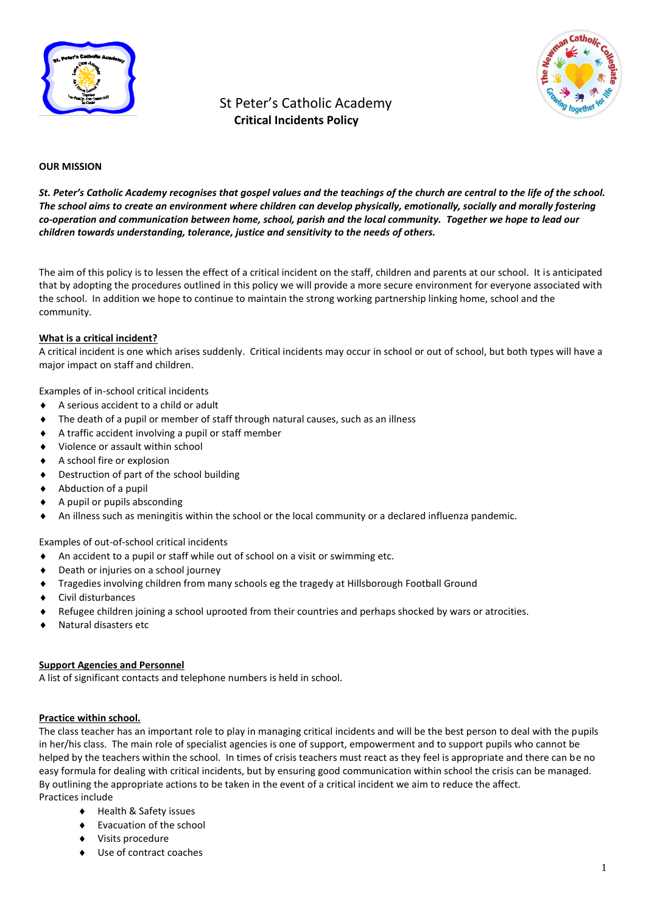

# St Peter's Catholic Academy  **Critical Incidents Policy**



#### **OUR MISSION**

*St. Peter's Catholic Academy recognises that gospel values and the teachings of the church are central to the life of the school. The school aims to create an environment where children can develop physically, emotionally, socially and morally fostering co-operation and communication between home, school, parish and the local community. Together we hope to lead our children towards understanding, tolerance, justice and sensitivity to the needs of others.*

The aim of this policy is to lessen the effect of a critical incident on the staff, children and parents at our school. It is anticipated that by adopting the procedures outlined in this policy we will provide a more secure environment for everyone associated with the school. In addition we hope to continue to maintain the strong working partnership linking home, school and the community.

#### **What is a critical incident?**

A critical incident is one which arises suddenly. Critical incidents may occur in school or out of school, but both types will have a major impact on staff and children.

Examples of in-school critical incidents

- A serious accident to a child or adult
- The death of a pupil or member of staff through natural causes, such as an illness
- A traffic accident involving a pupil or staff member
- Violence or assault within school
- A school fire or explosion
- Destruction of part of the school building
- Abduction of a pupil
- A pupil or pupils absconding
- An illness such as meningitis within the school or the local community or a declared influenza pandemic.

Examples of out-of-school critical incidents

- $\blacklozenge$  An accident to a pupil or staff while out of school on a visit or swimming etc.
- Death or injuries on a school journey
- Tragedies involving children from many schools eg the tragedy at Hillsborough Football Ground
- Civil disturbances
- Refugee children joining a school uprooted from their countries and perhaps shocked by wars or atrocities.
- Natural disasters etc

#### **Support Agencies and Personnel**

A list of significant contacts and telephone numbers is held in school.

#### **Practice within school.**

The class teacher has an important role to play in managing critical incidents and will be the best person to deal with the pupils in her/his class. The main role of specialist agencies is one of support, empowerment and to support pupils who cannot be helped by the teachers within the school. In times of crisis teachers must react as they feel is appropriate and there can be no easy formula for dealing with critical incidents, but by ensuring good communication within school the crisis can be managed. By outlining the appropriate actions to be taken in the event of a critical incident we aim to reduce the affect. Practices include

- ◆ Health & Safety issues
- Evacuation of the school
- Visits procedure
- Use of contract coaches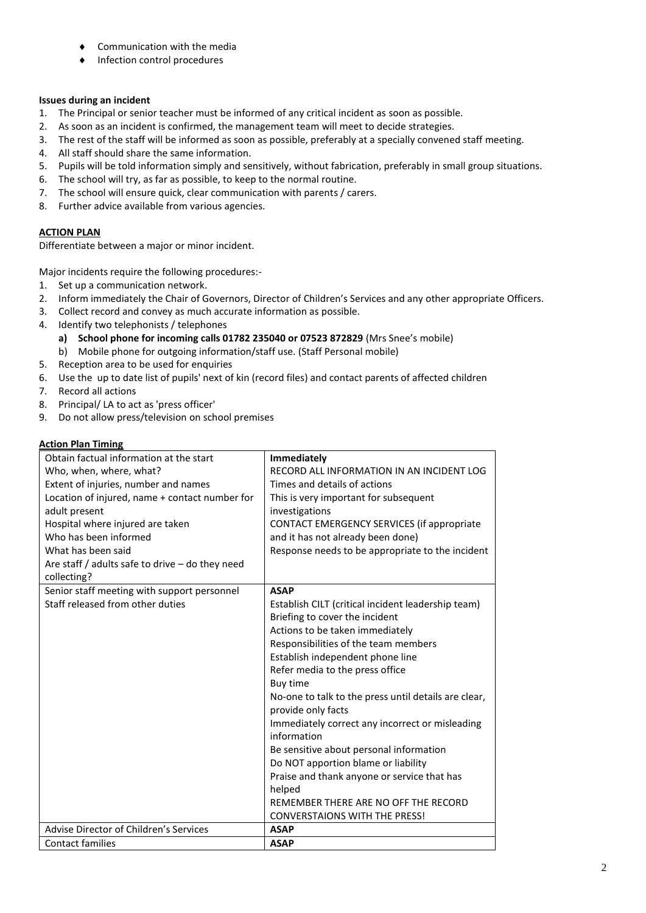- Communication with the media
- Infection control procedures

## **Issues during an incident**

- 1. The Principal or senior teacher must be informed of any critical incident as soon as possible.
- 2. As soon as an incident is confirmed, the management team will meet to decide strategies.
- 3. The rest of the staff will be informed as soon as possible, preferably at a specially convened staff meeting.
- 4. All staff should share the same information.
- 5. Pupils will be told information simply and sensitively, without fabrication, preferably in small group situations.
- 6. The school will try, as far as possible, to keep to the normal routine.
- 7. The school will ensure quick, clear communication with parents / carers.
- 8. Further advice available from various agencies.

# **ACTION PLAN**

Differentiate between a major or minor incident.

Major incidents require the following procedures:-

- 1. Set up a communication network.
- 2. Inform immediately the Chair of Governors, Director of Children's Services and any other appropriate Officers.
- 3. Collect record and convey as much accurate information as possible.
- 4. Identify two telephonists / telephones
	- **a) School phone for incoming calls 01782 235040 or 07523 872829** (Mrs Snee's mobile)
	- b) Mobile phone for outgoing information/staff use. (Staff Personal mobile)
- 5. Reception area to be used for enquiries
- 6. Use the up to date list of pupils' next of kin (record files) and contact parents of affected children
- 7. Record all actions
- 8. Principal/ LA to act as 'press officer'
- 9. Do not allow press/television on school premises

## **Action Plan Timing**

| Obtain factual information at the start           | <b>Immediately</b>                                                         |
|---------------------------------------------------|----------------------------------------------------------------------------|
| Who, when, where, what?                           | RECORD ALL INFORMATION IN AN INCIDENT LOG                                  |
| Extent of injuries, number and names              | Times and details of actions                                               |
| Location of injured, name + contact number for    | This is very important for subsequent                                      |
| adult present                                     | investigations                                                             |
| Hospital where injured are taken                  | CONTACT EMERGENCY SERVICES (if appropriate                                 |
| Who has been informed                             | and it has not already been done)                                          |
| What has been said                                | Response needs to be appropriate to the incident                           |
| Are staff / adults safe to drive $-$ do they need |                                                                            |
| collecting?                                       |                                                                            |
| Senior staff meeting with support personnel       | <b>ASAP</b>                                                                |
| Staff released from other duties                  | Establish CILT (critical incident leadership team)                         |
|                                                   | Briefing to cover the incident                                             |
|                                                   | Actions to be taken immediately                                            |
|                                                   | Responsibilities of the team members                                       |
|                                                   | Establish independent phone line                                           |
|                                                   | Refer media to the press office                                            |
|                                                   | Buy time                                                                   |
|                                                   | No-one to talk to the press until details are clear,<br>provide only facts |
|                                                   |                                                                            |
|                                                   | Immediately correct any incorrect or misleading<br>information             |
|                                                   | Be sensitive about personal information                                    |
|                                                   | Do NOT apportion blame or liability                                        |
|                                                   | Praise and thank anyone or service that has                                |
|                                                   | helped                                                                     |
|                                                   | REMEMBER THERE ARE NO OFF THE RECORD                                       |
|                                                   | <b>CONVERSTAIONS WITH THE PRESS!</b>                                       |
| Advise Director of Children's Services            | <b>ASAP</b>                                                                |
| <b>Contact families</b>                           | <b>ASAP</b>                                                                |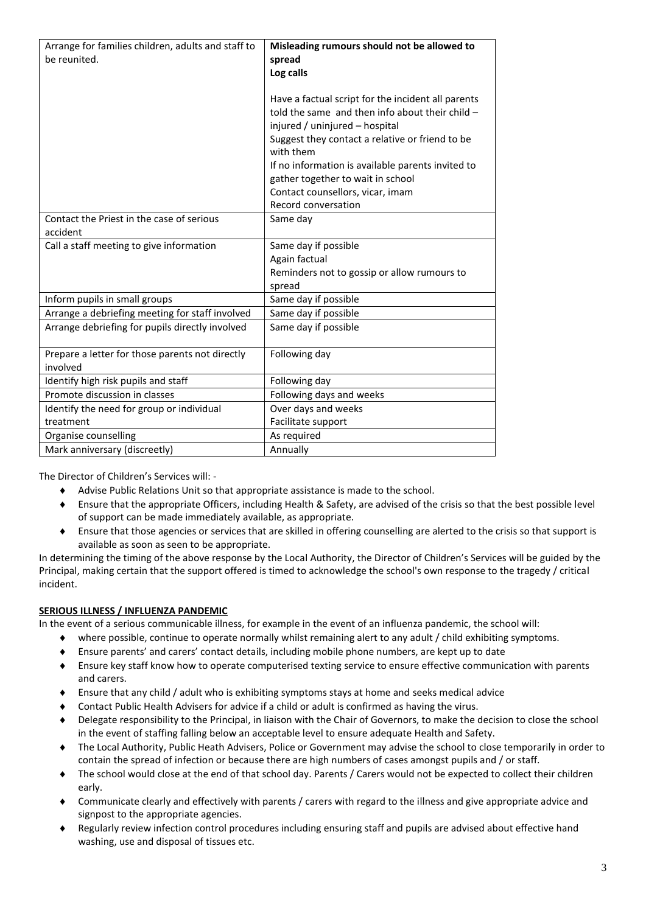| Arrange for families children, adults and staff to<br>be reunited. | Misleading rumours should not be allowed to<br>spread<br>Log calls                                                                                                                                                                                                                                                                      |
|--------------------------------------------------------------------|-----------------------------------------------------------------------------------------------------------------------------------------------------------------------------------------------------------------------------------------------------------------------------------------------------------------------------------------|
|                                                                    | Have a factual script for the incident all parents<br>told the same and then info about their child $-$<br>injured / uninjured - hospital<br>Suggest they contact a relative or friend to be<br>with them<br>If no information is available parents invited to<br>gather together to wait in school<br>Contact counsellors, vicar, imam |
|                                                                    | Record conversation                                                                                                                                                                                                                                                                                                                     |
| Contact the Priest in the case of serious<br>accident              | Same day                                                                                                                                                                                                                                                                                                                                |
| Call a staff meeting to give information                           | Same day if possible<br>Again factual<br>Reminders not to gossip or allow rumours to<br>spread                                                                                                                                                                                                                                          |
| Inform pupils in small groups                                      | Same day if possible                                                                                                                                                                                                                                                                                                                    |
| Arrange a debriefing meeting for staff involved                    | Same day if possible                                                                                                                                                                                                                                                                                                                    |
| Arrange debriefing for pupils directly involved                    | Same day if possible                                                                                                                                                                                                                                                                                                                    |
| Prepare a letter for those parents not directly<br>involved        | Following day                                                                                                                                                                                                                                                                                                                           |
| Identify high risk pupils and staff                                | Following day                                                                                                                                                                                                                                                                                                                           |
| Promote discussion in classes                                      | Following days and weeks                                                                                                                                                                                                                                                                                                                |
| Identify the need for group or individual                          | Over days and weeks                                                                                                                                                                                                                                                                                                                     |
| treatment                                                          | Facilitate support                                                                                                                                                                                                                                                                                                                      |
| Organise counselling                                               | As required                                                                                                                                                                                                                                                                                                                             |
| Mark anniversary (discreetly)                                      | Annually                                                                                                                                                                                                                                                                                                                                |

The Director of Children's Services will: -

- Advise Public Relations Unit so that appropriate assistance is made to the school.
- Ensure that the appropriate Officers, including Health & Safety, are advised of the crisis so that the best possible level of support can be made immediately available, as appropriate.
- Ensure that those agencies or services that are skilled in offering counselling are alerted to the crisis so that support is available as soon as seen to be appropriate.

In determining the timing of the above response by the Local Authority, the Director of Children's Services will be guided by the Principal, making certain that the support offered is timed to acknowledge the school's own response to the tragedy / critical incident.

### **SERIOUS ILLNESS / INFLUENZA PANDEMIC**

In the event of a serious communicable illness, for example in the event of an influenza pandemic, the school will:

- where possible, continue to operate normally whilst remaining alert to any adult / child exhibiting symptoms.
- Ensure parents' and carers' contact details, including mobile phone numbers, are kept up to date
- Ensure key staff know how to operate computerised texting service to ensure effective communication with parents and carers.
- Ensure that any child / adult who is exhibiting symptoms stays at home and seeks medical advice
- Contact Public Health Advisers for advice if a child or adult is confirmed as having the virus.
- Delegate responsibility to the Principal, in liaison with the Chair of Governors, to make the decision to close the school in the event of staffing falling below an acceptable level to ensure adequate Health and Safety.
- The Local Authority, Public Heath Advisers, Police or Government may advise the school to close temporarily in order to contain the spread of infection or because there are high numbers of cases amongst pupils and / or staff.
- The school would close at the end of that school day. Parents / Carers would not be expected to collect their children early.
- Communicate clearly and effectively with parents / carers with regard to the illness and give appropriate advice and signpost to the appropriate agencies.
- Regularly review infection control procedures including ensuring staff and pupils are advised about effective hand washing, use and disposal of tissues etc.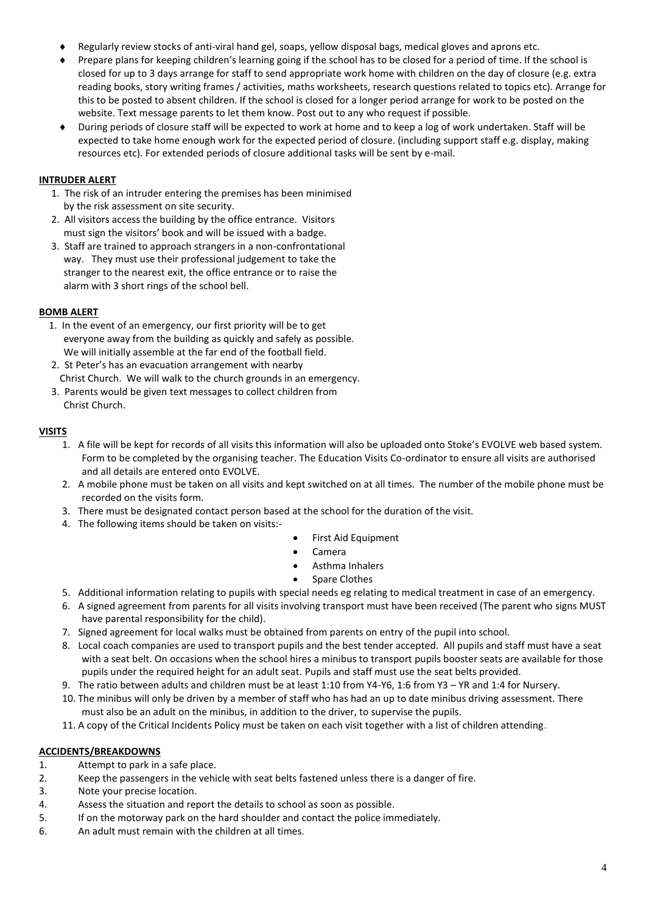- Regularly review stocks of anti-viral hand gel, soaps, yellow disposal bags, medical gloves and aprons etc.
- Prepare plans for keeping children's learning going if the school has to be closed for a period of time. If the school is closed for up to 3 days arrange for staff to send appropriate work home with children on the day of closure (e.g. extra reading books, story writing frames / activities, maths worksheets, research questions related to topics etc). Arrange for this to be posted to absent children. If the school is closed for a longer period arrange for work to be posted on the website. Text message parents to let them know. Post out to any who request if possible.
- During periods of closure staff will be expected to work at home and to keep a log of work undertaken. Staff will be expected to take home enough work for the expected period of closure. (including support staff e.g. display, making resources etc). For extended periods of closure additional tasks will be sent by e-mail.

## **INTRUDER ALERT**

- 1. The risk of an intruder entering the premises has been minimised by the risk assessment on site security.
- 2. All visitors access the building by the office entrance. Visitors must sign the visitors' book and will be issued with a badge.
- 3. Staff are trained to approach strangers in a non-confrontational way. They must use their professional judgement to take the stranger to the nearest exit, the office entrance or to raise the alarm with 3 short rings of the school bell.

### **BOMB ALERT**

- 1. In the event of an emergency, our first priority will be to get everyone away from the building as quickly and safely as possible. We will initially assemble at the far end of the football field.
- 2. St Peter's has an evacuation arrangement with nearby Christ Church. We will walk to the church grounds in an emergency.
- 3. Parents would be given text messages to collect children from Christ Church.

### **VISITS**

- 1. A file will be kept for records of all visits this information will also be uploaded onto Stoke's EVOLVE web based system. Form to be completed by the organising teacher. The Education Visits Co-ordinator to ensure all visits are authorised and all details are entered onto EVOLVE.
- 2. A mobile phone must be taken on all visits and kept switched on at all times. The number of the mobile phone must be recorded on the visits form.
- 3. There must be designated contact person based at the school for the duration of the visit.
- 4. The following items should be taken on visits:-
- First Aid Equipment
- Camera
- Asthma Inhalers
- Spare Clothes
- 5. Additional information relating to pupils with special needs eg relating to medical treatment in case of an emergency.
- 6. A signed agreement from parents for all visits involving transport must have been received (The parent who signs MUST have parental responsibility for the child).
- 7. Signed agreement for local walks must be obtained from parents on entry of the pupil into school.
- 8. Local coach companies are used to transport pupils and the best tender accepted. All pupils and staff must have a seat with a seat belt. On occasions when the school hires a minibus to transport pupils booster seats are available for those pupils under the required height for an adult seat. Pupils and staff must use the seat belts provided.
- 9. The ratio between adults and children must be at least 1:10 from Y4-Y6, 1:6 from Y3 YR and 1:4 for Nursery.
- 10. The minibus will only be driven by a member of staff who has had an up to date minibus driving assessment. There must also be an adult on the minibus, in addition to the driver, to supervise the pupils.
- 11. A copy of the Critical Incidents Policy must be taken on each visit together with a list of children attending.

### **ACCIDENTS/BREAKDOWNS**

- 1. Attempt to park in a safe place.
- 2. Keep the passengers in the vehicle with seat belts fastened unless there is a danger of fire.
- 3. Note your precise location.
- 4. Assess the situation and report the details to school as soon as possible.
- 5. If on the motorway park on the hard shoulder and contact the police immediately.
- 6. An adult must remain with the children at all times.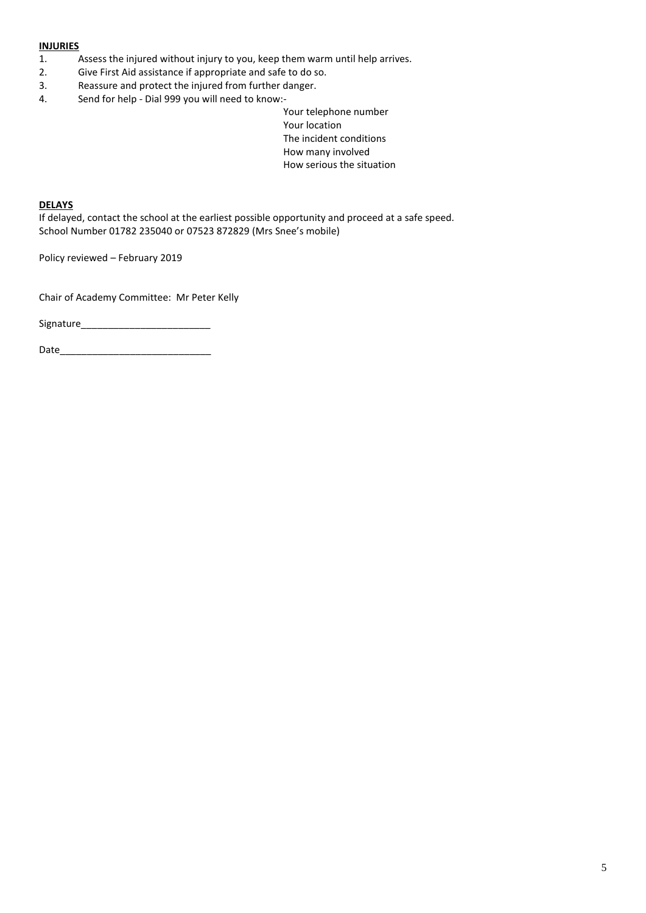#### **INJURIES**

- 1. Assess the injured without injury to you, keep them warm until help arrives.
- 2. Give First Aid assistance if appropriate and safe to do so.
- 3. Reassure and protect the injured from further danger.
- 4. Send for help Dial 999 you will need to know:-
	- Your telephone number Your location The incident conditions How many involved How serious the situation

#### **DELAYS**

If delayed, contact the school at the earliest possible opportunity and proceed at a safe speed. School Number 01782 235040 or 07523 872829 (Mrs Snee's mobile)

Policy reviewed – February 2019

Chair of Academy Committee: Mr Peter Kelly

Signature\_\_\_\_\_\_\_\_\_\_\_\_\_\_\_\_\_\_\_\_\_\_\_\_

Date\_\_\_\_\_\_\_\_\_\_\_\_\_\_\_\_\_\_\_\_\_\_\_\_\_\_\_\_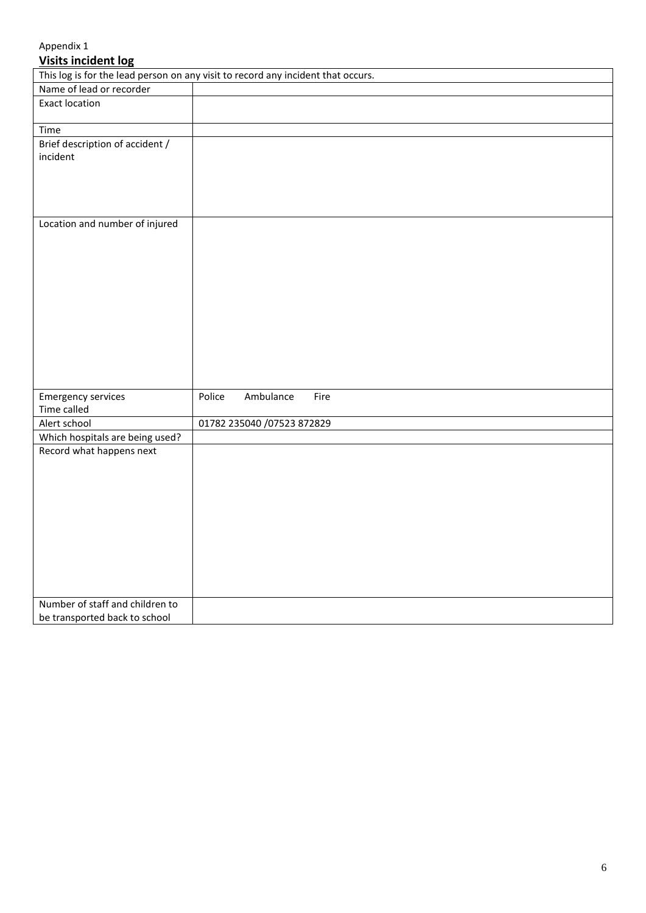# Appendix 1

# **Visits incident log**

| - - - -                                                                          |        |                            |      |
|----------------------------------------------------------------------------------|--------|----------------------------|------|
| This log is for the lead person on any visit to record any incident that occurs. |        |                            |      |
| Name of lead or recorder                                                         |        |                            |      |
| <b>Exact location</b>                                                            |        |                            |      |
|                                                                                  |        |                            |      |
| Time                                                                             |        |                            |      |
| Brief description of accident /                                                  |        |                            |      |
| incident                                                                         |        |                            |      |
|                                                                                  |        |                            |      |
|                                                                                  |        |                            |      |
|                                                                                  |        |                            |      |
|                                                                                  |        |                            |      |
| Location and number of injured                                                   |        |                            |      |
|                                                                                  |        |                            |      |
|                                                                                  |        |                            |      |
|                                                                                  |        |                            |      |
|                                                                                  |        |                            |      |
|                                                                                  |        |                            |      |
|                                                                                  |        |                            |      |
|                                                                                  |        |                            |      |
|                                                                                  |        |                            |      |
|                                                                                  |        |                            |      |
|                                                                                  |        |                            |      |
|                                                                                  |        |                            |      |
|                                                                                  |        |                            |      |
| <b>Emergency services</b>                                                        | Police | Ambulance                  | Fire |
| Time called                                                                      |        |                            |      |
| Alert school                                                                     |        | 01782 235040 /07523 872829 |      |
| Which hospitals are being used?                                                  |        |                            |      |
| Record what happens next                                                         |        |                            |      |
|                                                                                  |        |                            |      |
|                                                                                  |        |                            |      |
|                                                                                  |        |                            |      |
|                                                                                  |        |                            |      |
|                                                                                  |        |                            |      |
|                                                                                  |        |                            |      |
|                                                                                  |        |                            |      |
|                                                                                  |        |                            |      |
|                                                                                  |        |                            |      |
|                                                                                  |        |                            |      |
| Number of staff and children to                                                  |        |                            |      |
| be transported back to school                                                    |        |                            |      |